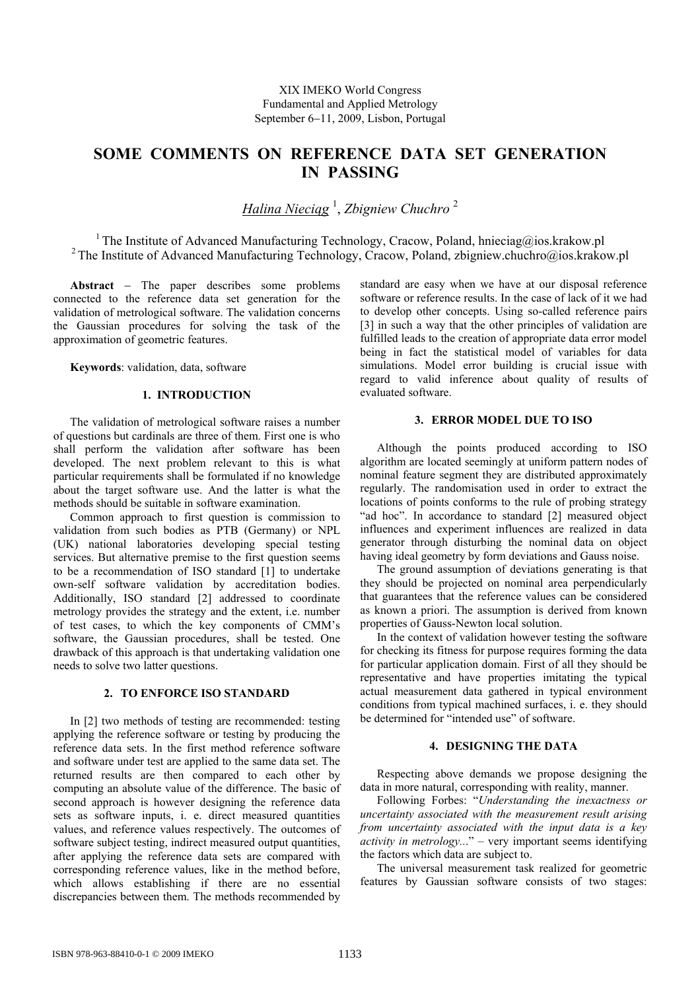# **SOME COMMENTS ON REFERENCE DATA SET GENERATION IN PASSING**

*Halina Nieciąg* 1 , *Zbigniew Chuchro* <sup>2</sup>

<sup>1</sup> The Institute of Advanced Manufacturing Technology, Cracow, Poland, hnieciag@ios.krakow.pl <sup>2</sup> The Institute of Advanced Manufacturing Technology, Cracow, Poland, zbigniew.chuchro@ios.krakow.pl

**Abstract** − The paper describes some problems connected to the reference data set generation for the validation of metrological software. The validation concerns the Gaussian procedures for solving the task of the approximation of geometric features.

**Keywords**: validation, data, software

## **1. INTRODUCTION**

The validation of metrological software raises a number of questions but cardinals are three of them. First one is who shall perform the validation after software has been developed. The next problem relevant to this is what particular requirements shall be formulated if no knowledge about the target software use. And the latter is what the methods should be suitable in software examination.

Common approach to first question is commission to validation from such bodies as PTB (Germany) or NPL (UK) national laboratories developing special testing services. But alternative premise to the first question seems to be a recommendation of ISO standard [1] to undertake own-self software validation by accreditation bodies. Additionally, ISO standard [2] addressed to coordinate metrology provides the strategy and the extent, i.e. number of test cases, to which the key components of CMM's software, the Gaussian procedures, shall be tested. One drawback of this approach is that undertaking validation one needs to solve two latter questions.

## **2. TO ENFORCE ISO STANDARD**

In [2] two methods of testing are recommended: testing applying the reference software or testing by producing the reference data sets. In the first method reference software and software under test are applied to the same data set. The returned results are then compared to each other by computing an absolute value of the difference. The basic of second approach is however designing the reference data sets as software inputs, i. e. direct measured quantities values, and reference values respectively. The outcomes of software subject testing, indirect measured output quantities, after applying the reference data sets are compared with corresponding reference values, like in the method before, which allows establishing if there are no essential discrepancies between them. The methods recommended by

standard are easy when we have at our disposal reference software or reference results. In the case of lack of it we had to develop other concepts. Using so-called reference pairs [3] in such a way that the other principles of validation are fulfilled leads to the creation of appropriate data error model being in fact the statistical model of variables for data simulations. Model error building is crucial issue with regard to valid inference about quality of results of evaluated software.

## **3. ERROR MODEL DUE TO ISO**

Although the points produced according to ISO algorithm are located seemingly at uniform pattern nodes of nominal feature segment they are distributed approximately regularly. The randomisation used in order to extract the locations of points conforms to the rule of probing strategy "ad hoc". In accordance to standard [2] measured object influences and experiment influences are realized in data generator through disturbing the nominal data on object having ideal geometry by form deviations and Gauss noise.

The ground assumption of deviations generating is that they should be projected on nominal area perpendicularly that guarantees that the reference values can be considered as known a priori. The assumption is derived from known properties of Gauss-Newton local solution.

In the context of validation however testing the software for checking its fitness for purpose requires forming the data for particular application domain. First of all they should be representative and have properties imitating the typical actual measurement data gathered in typical environment conditions from typical machined surfaces, i. e. they should be determined for "intended use" of software.

## **4. DESIGNING THE DATA**

Respecting above demands we propose designing the data in more natural, corresponding with reality, manner.

Following Forbes: "*Understanding the inexactness or uncertainty associated with the measurement result arising from uncertainty associated with the input data is a key activity in metrology..*." – very important seems identifying the factors which data are subject to.

The universal measurement task realized for geometric features by Gaussian software consists of two stages: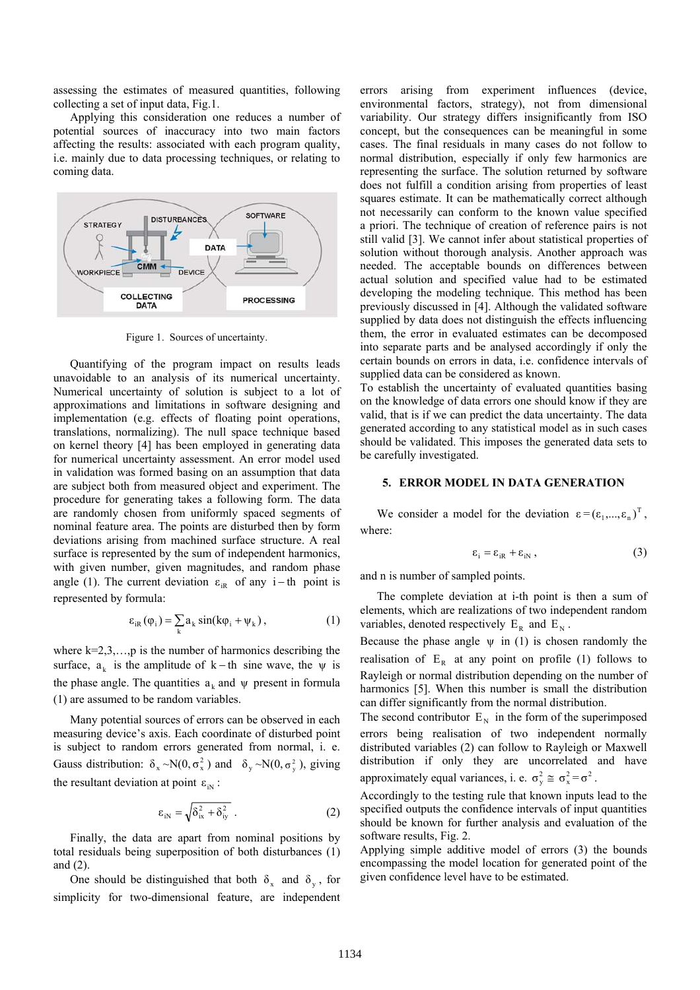assessing the estimates of measured quantities, following collecting a set of input data, Fig.1.

Applying this consideration one reduces a number of potential sources of inaccuracy into two main factors affecting the results: associated with each program quality, i.e. mainly due to data processing techniques, or relating to coming data.



Figure 1. Sources of uncertainty.

Quantifying of the program impact on results leads unavoidable to an analysis of its numerical uncertainty. Numerical uncertainty of solution is subject to a lot of approximations and limitations in software designing and implementation (e.g. effects of floating point operations, translations, normalizing). The null space technique based on kernel theory [4] has been employed in generating data for numerical uncertainty assessment. An error model used in validation was formed basing on an assumption that data are subject both from measured object and experiment. The procedure for generating takes a following form. The data are randomly chosen from uniformly spaced segments of nominal feature area. The points are disturbed then by form deviations arising from machined surface structure. A real surface is represented by the sum of independent harmonics, with given number, given magnitudes, and random phase angle (1). The current deviation  $\varepsilon_{iR}$  of any i - th point is represented by formula:

$$
\varepsilon_{iR}(\varphi_i) = \sum_k a_k \sin(k\varphi_i + \psi_k), \qquad (1)
$$

where  $k=2,3,...,p$  is the number of harmonics describing the surface,  $a_k$  is the amplitude of k – th sine wave, the  $\psi$  is the phase angle. The quantities  $a_k$  and  $\psi$  present in formula (1) are assumed to be random variables.

Many potential sources of errors can be observed in each measuring device's axis. Each coordinate of disturbed point is subject to random errors generated from normal, i. e. Gauss distribution:  $\delta_x \sim N(0, \sigma_x^2)$  and  $\delta_y \sim N(0, \sigma_y^2)$ , giving the resultant deviation at point  $\varepsilon_{\text{in}}$ :

$$
\varepsilon_{\text{in}} = \sqrt{\delta_{\text{ix}}^2 + \delta_{\text{iy}}^2} \tag{2}
$$

Finally, the data are apart from nominal positions by total residuals being superposition of both disturbances (1) and (2).

One should be distinguished that both  $\delta_x$  and  $\delta_y$ , for simplicity for two-dimensional feature, are independent errors arising from experiment influences (device, environmental factors, strategy), not from dimensional variability. Our strategy differs insignificantly from ISO concept, but the consequences can be meaningful in some cases. The final residuals in many cases do not follow to normal distribution, especially if only few harmonics are representing the surface. The solution returned by software does not fulfill a condition arising from properties of least squares estimate. It can be mathematically correct although not necessarily can conform to the known value specified a priori. The technique of creation of reference pairs is not still valid [3]. We cannot infer about statistical properties of solution without thorough analysis. Another approach was needed. The acceptable bounds on differences between actual solution and specified value had to be estimated developing the modeling technique. This method has been previously discussed in [4]. Although the validated software supplied by data does not distinguish the effects influencing them, the error in evaluated estimates can be decomposed into separate parts and be analysed accordingly if only the certain bounds on errors in data, i.e. confidence intervals of supplied data can be considered as known.

To establish the uncertainty of evaluated quantities basing on the knowledge of data errors one should know if they are valid, that is if we can predict the data uncertainty. The data generated according to any statistical model as in such cases should be validated. This imposes the generated data sets to be carefully investigated.

### **5. ERROR MODEL IN DATA GENERATION**

We consider a model for the deviation  $\varepsilon = (\varepsilon_1, ..., \varepsilon_n)^T$ , where:

$$
\varepsilon_{i} = \varepsilon_{iR} + \varepsilon_{iN}, \qquad (3)
$$

and n is number of sampled points.

The complete deviation at i-th point is then a sum of elements, which are realizations of two independent random variables, denoted respectively  $E_R$  and  $E_N$ .

Because the phase angle  $\psi$  in (1) is chosen randomly the realisation of  $E_R$  at any point on profile (1) follows to Rayleigh or normal distribution depending on the number of harmonics [5]. When this number is small the distribution can differ significantly from the normal distribution.

The second contributor  $E_N$  in the form of the superimposed errors being realisation of two independent normally distributed variables (2) can follow to Rayleigh or Maxwell distribution if only they are uncorrelated and have

approximately equal variances, i. e.  $\sigma_y^2 \approx \sigma_x^2 = \sigma^2$ .

Accordingly to the testing rule that known inputs lead to the specified outputs the confidence intervals of input quantities should be known for further analysis and evaluation of the software results, Fig. 2.

Applying simple additive model of errors (3) the bounds encompassing the model location for generated point of the given confidence level have to be estimated.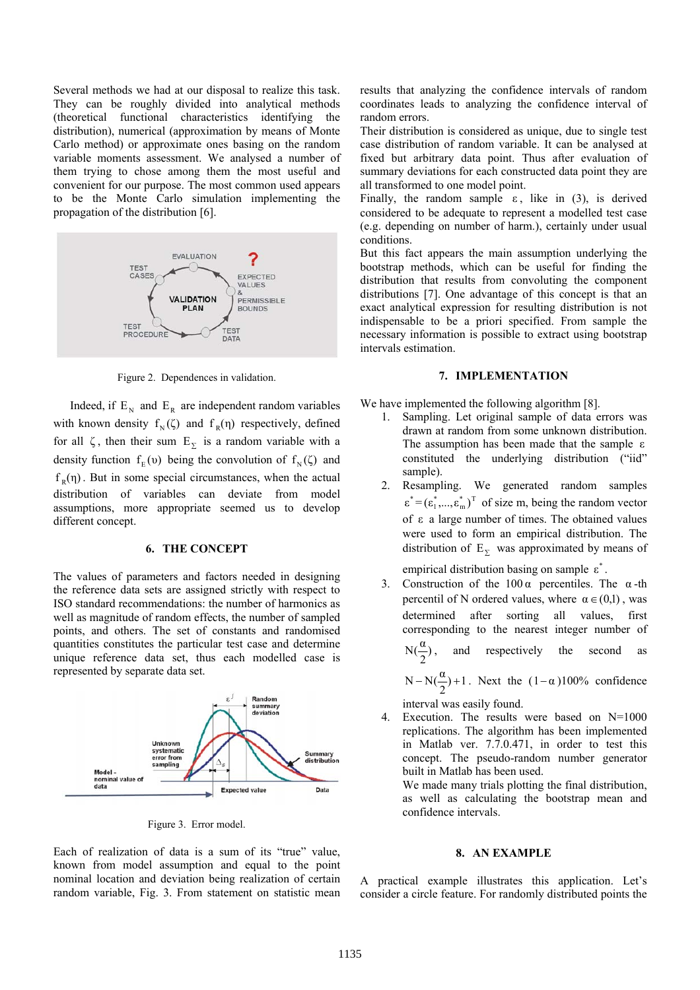Several methods we had at our disposal to realize this task. They can be roughly divided into analytical methods (theoretical functional characteristics identifying the distribution), numerical (approximation by means of Monte Carlo method) or approximate ones basing on the random variable moments assessment. We analysed a number of them trying to chose among them the most useful and convenient for our purpose. The most common used appears to be the Monte Carlo simulation implementing the propagation of the distribution [6].



Figure 2. Dependences in validation.

Indeed, if  $E_N$  and  $E_R$  are independent random variables with known density  $f_N(\zeta)$  and  $f_R(\eta)$  respectively, defined for all  $\zeta$ , then their sum  $E_{\Sigma}$  is a random variable with a density function  $f_E(v)$  being the convolution of  $f_N(\zeta)$  and  $f<sub>R</sub>( $\eta$ )$ . But in some special circumstances, when the actual distribution of variables can deviate from model assumptions, more appropriate seemed us to develop different concept.

## **6. THE CONCEPT**

The values of parameters and factors needed in designing the reference data sets are assigned strictly with respect to ISO standard recommendations: the number of harmonics as well as magnitude of random effects, the number of sampled points, and others. The set of constants and randomised quantities constitutes the particular test case and determine unique reference data set, thus each modelled case is represented by separate data set.



Figure 3. Error model.

Each of realization of data is a sum of its "true" value, known from model assumption and equal to the point nominal location and deviation being realization of certain random variable, Fig. 3. From statement on statistic mean results that analyzing the confidence intervals of random coordinates leads to analyzing the confidence interval of random errors.

Their distribution is considered as unique, due to single test case distribution of random variable. It can be analysed at fixed but arbitrary data point. Thus after evaluation of summary deviations for each constructed data point they are all transformed to one model point.

Finally, the random sample  $\varepsilon$ , like in (3), is derived considered to be adequate to represent a modelled test case (e.g. depending on number of harm.), certainly under usual conditions.

But this fact appears the main assumption underlying the bootstrap methods, which can be useful for finding the distribution that results from convoluting the component distributions [7]. One advantage of this concept is that an exact analytical expression for resulting distribution is not indispensable to be a priori specified. From sample the necessary information is possible to extract using bootstrap intervals estimation.

#### **7. IMPLEMENTATION**

We have implemented the following algorithm [8].

- 1. Sampling. Let original sample of data errors was drawn at random from some unknown distribution. The assumption has been made that the sample ε constituted the underlying distribution ("iid" sample).
- 2. Resampling. We generated random samples  $\varepsilon^* = (\varepsilon_1^*, ..., \varepsilon_m^*)^T$  of size m, being the random vector of  $\varepsilon$  a large number of times. The obtained values were used to form an empirical distribution. The distribution of  $E_{\Sigma}$  was approximated by means of

empirical distribution basing on sample  $\varepsilon^*$ .

3. Construction of the  $100 \alpha$  percentiles. The  $\alpha$ -th percentil of N ordered values, where  $\alpha \in (0,1)$ , was determined after sorting all values, first corresponding to the nearest integer number of  $N(\frac{\alpha}{2})$ , and respectively the second as

 $N - N(\frac{\alpha}{2}) + 1$ . Next the  $(1-\alpha)100\%$  confidence

interval was easily found.

4. Execution. The results were based on N=1000 replications. The algorithm has been implemented in Matlab ver. 7.7.0.471, in order to test this concept. The pseudo-random number generator built in Matlab has been used.

We made many trials plotting the final distribution, as well as calculating the bootstrap mean and confidence intervals.

#### **8. AN EXAMPLE**

A practical example illustrates this application. Let's consider a circle feature. For randomly distributed points the